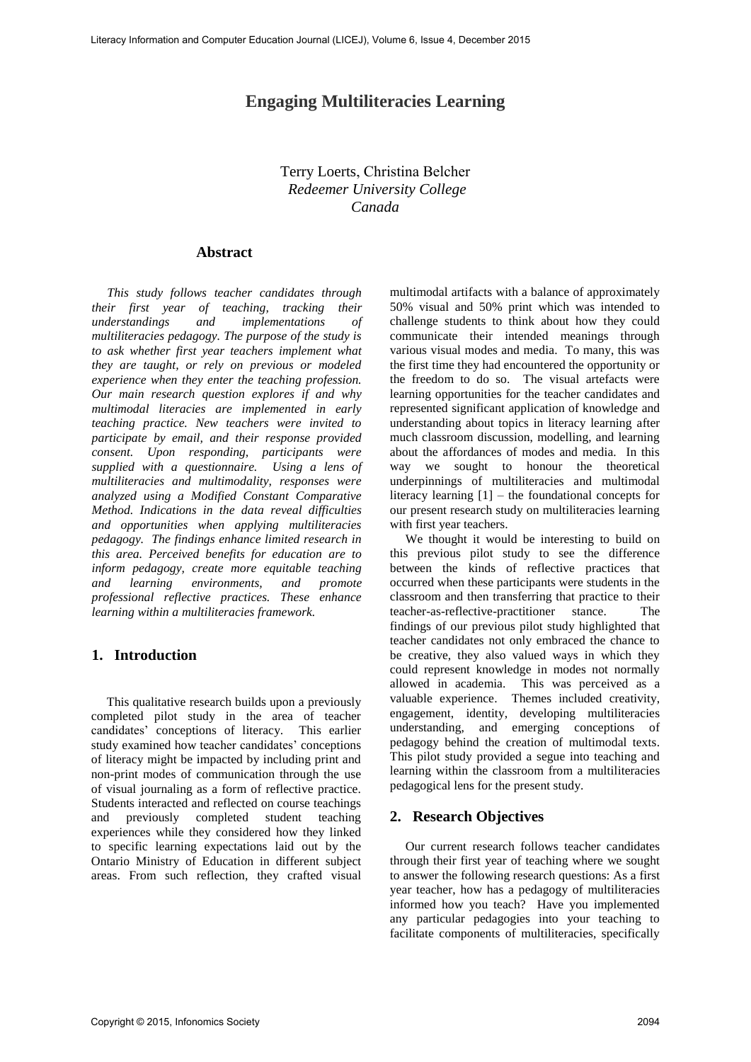# **Engaging Multiliteracies Learning**

# Terry Loerts, Christina Belcher *Redeemer University College [Ca](mailto:tloerts@redeemer.ca)[nada](mailto:cbelcher@redeemer.ca)*

#### **Abstract**

*This study follows teacher candidates through their first year of teaching, tracking their understandings and implementations of multiliteracies pedagogy. The purpose of the study is to ask whether first year teachers implement what they are taught, or rely on previous or modeled experience when they enter the teaching profession. Our main research question explores if and why multimodal literacies are implemented in early teaching practice. New teachers were invited to participate by email, and their response provided consent. Upon responding, participants were supplied with a questionnaire. Using a lens of multiliteracies and multimodality, responses were analyzed using a Modified Constant Comparative Method. Indications in the data reveal difficulties and opportunities when applying multiliteracies pedagogy. The findings enhance limited research in this area. Perceived benefits for education are to inform pedagogy, create more equitable teaching and learning environments, and promote professional reflective practices. These enhance learning within a multiliteracies framework.*

# **1. Introduction**

This qualitative research builds upon a previously completed pilot study in the area of teacher candidates' conceptions of literacy. This earlier study examined how teacher candidates' conceptions of literacy might be impacted by including print and non-print modes of communication through the use of visual journaling as a form of reflective practice. Students interacted and reflected on course teachings and previously completed student teaching experiences while they considered how they linked to specific learning expectations laid out by the Ontario Ministry of Education in different subject areas. From such reflection, they crafted visual multimodal artifacts with a balance of approximately 50% visual and 50% print which was intended to challenge students to think about how they could communicate their intended meanings through various visual modes and media. To many, this was the first time they had encountered the opportunity or the freedom to do so. The visual artefacts were learning opportunities for the teacher candidates and represented significant application of knowledge and understanding about topics in literacy learning after much classroom discussion, modelling, and learning about the affordances of modes and media. In this way we sought to honour the theoretical underpinnings of multiliteracies and multimodal literacy learning [1] – the foundational concepts for our present research study on multiliteracies learning with first year teachers.

We thought it would be interesting to build on this previous pilot study to see the difference between the kinds of reflective practices that occurred when these participants were students in the classroom and then transferring that practice to their teacher-as-reflective-practitioner stance. The findings of our previous pilot study highlighted that teacher candidates not only embraced the chance to be creative, they also valued ways in which they could represent knowledge in modes not normally allowed in academia. This was perceived as a valuable experience. Themes included creativity, engagement, identity, developing multiliteracies understanding, and emerging conceptions of pedagogy behind the creation of multimodal texts. This pilot study provided a segue into teaching and learning within the classroom from a multiliteracies pedagogical lens for the present study.

#### **2. Research Objectives**

Our current research follows teacher candidates through their first year of teaching where we sought to answer the following research questions: As a first year teacher, how has a pedagogy of multiliteracies informed how you teach? Have you implemented any particular pedagogies into your teaching to facilitate components of multiliteracies, specifically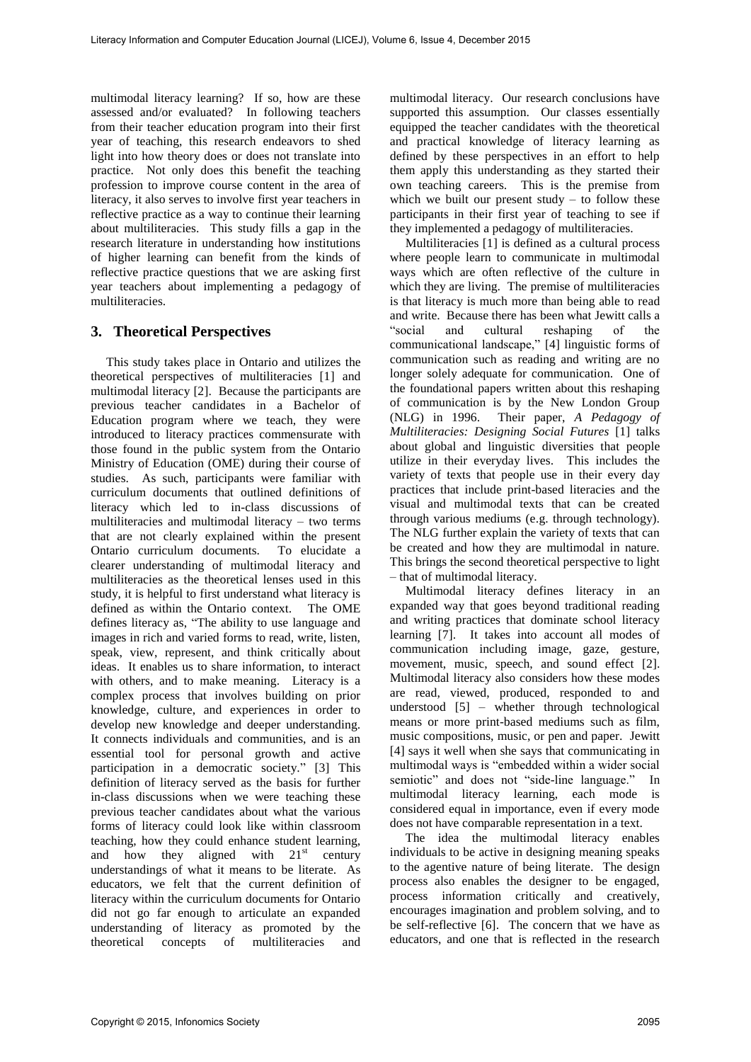multimodal literacy learning? If so, how are these assessed and/or evaluated? In following teachers from their teacher education program into their first year of teaching, this research endeavors to shed light into how theory does or does not translate into practice. Not only does this benefit the teaching profession to improve course content in the area of literacy, it also serves to involve first year teachers in reflective practice as a way to continue their learning about multiliteracies. This study fills a gap in the research literature in understanding how institutions of higher learning can benefit from the kinds of reflective practice questions that we are asking first year teachers about implementing a pedagogy of multiliteracies.

# **3. Theoretical Perspectives**

This study takes place in Ontario and utilizes the theoretical perspectives of multiliteracies [1] and multimodal literacy [2]. Because the participants are previous teacher candidates in a Bachelor of Education program where we teach, they were introduced to literacy practices commensurate with those found in the public system from the Ontario Ministry of Education (OME) during their course of studies. As such, participants were familiar with curriculum documents that outlined definitions of literacy which led to in-class discussions of multiliteracies and multimodal literacy – two terms that are not clearly explained within the present Ontario curriculum documents. To elucidate a clearer understanding of multimodal literacy and multiliteracies as the theoretical lenses used in this study, it is helpful to first understand what literacy is defined as within the Ontario context. The OME defines literacy as, "The ability to use language and images in rich and varied forms to read, write, listen, speak, view, represent, and think critically about ideas. It enables us to share information, to interact with others, and to make meaning. Literacy is a complex process that involves building on prior knowledge, culture, and experiences in order to develop new knowledge and deeper understanding. It connects individuals and communities, and is an essential tool for personal growth and active participation in a democratic society." [3] This definition of literacy served as the basis for further in-class discussions when we were teaching these previous teacher candidates about what the various forms of literacy could look like within classroom teaching, how they could enhance student learning, and how they aligned with  $21<sup>st</sup>$  century understandings of what it means to be literate. As educators, we felt that the current definition of literacy within the curriculum documents for Ontario did not go far enough to articulate an expanded understanding of literacy as promoted by the theoretical concepts of multiliteracies and

multimodal literacy. Our research conclusions have supported this assumption. Our classes essentially equipped the teacher candidates with the theoretical and practical knowledge of literacy learning as defined by these perspectives in an effort to help them apply this understanding as they started their own teaching careers. This is the premise from which we built our present study  $-$  to follow these participants in their first year of teaching to see if they implemented a pedagogy of multiliteracies.

Multiliteracies [1] is defined as a cultural process where people learn to communicate in multimodal ways which are often reflective of the culture in which they are living. The premise of multiliteracies is that literacy is much more than being able to read and write. Because there has been what Jewitt calls a "social and cultural reshaping of the communicational landscape," [4] linguistic forms of communication such as reading and writing are no longer solely adequate for communication. One of the foundational papers written about this reshaping of communication is by the New London Group (NLG) in 1996. Their paper, *A Pedagogy of Multiliteracies: Designing Social Futures* [1] talks about global and linguistic diversities that people utilize in their everyday lives. This includes the variety of texts that people use in their every day practices that include print-based literacies and the visual and multimodal texts that can be created through various mediums (e.g. through technology). The NLG further explain the variety of texts that can be created and how they are multimodal in nature. This brings the second theoretical perspective to light – that of multimodal literacy.

Multimodal literacy defines literacy in an expanded way that goes beyond traditional reading and writing practices that dominate school literacy learning [7]. It takes into account all modes of communication including image, gaze, gesture, movement, music, speech, and sound effect [2]. Multimodal literacy also considers how these modes are read, viewed, produced, responded to and understood [5] – whether through technological means or more print-based mediums such as film, music compositions, music, or pen and paper. Jewitt [4] says it well when she says that communicating in multimodal ways is "embedded within a wider social semiotic" and does not "side-line language." In multimodal literacy learning, each mode is considered equal in importance, even if every mode does not have comparable representation in a text.

The idea the multimodal literacy enables individuals to be active in designing meaning speaks to the agentive nature of being literate. The design process also enables the designer to be engaged, process information critically and creatively, encourages imagination and problem solving, and to be self-reflective [6]. The concern that we have as educators, and one that is reflected in the research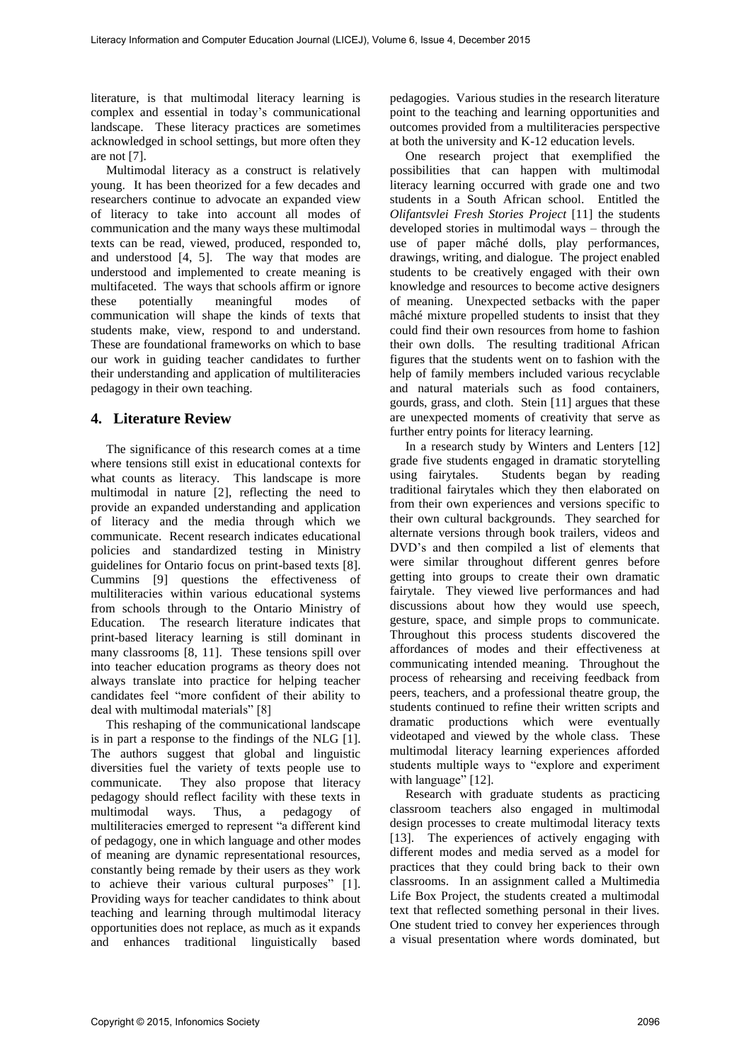literature, is that multimodal literacy learning is complex and essential in today's communicational landscape. These literacy practices are sometimes acknowledged in school settings, but more often they are not [7].

Multimodal literacy as a construct is relatively young. It has been theorized for a few decades and researchers continue to advocate an expanded view of literacy to take into account all modes of communication and the many ways these multimodal texts can be read, viewed, produced, responded to, and understood [4, 5]. The way that modes are understood and implemented to create meaning is multifaceted. The ways that schools affirm or ignore these potentially meaningful modes of communication will shape the kinds of texts that students make, view, respond to and understand. These are foundational frameworks on which to base our work in guiding teacher candidates to further their understanding and application of multiliteracies pedagogy in their own teaching.

## **4. Literature Review**

The significance of this research comes at a time where tensions still exist in educational contexts for what counts as literacy. This landscape is more multimodal in nature [2], reflecting the need to provide an expanded understanding and application of literacy and the media through which we communicate. Recent research indicates educational policies and standardized testing in Ministry guidelines for Ontario focus on print-based texts [8]. Cummins [9] questions the effectiveness of multiliteracies within various educational systems from schools through to the Ontario Ministry of Education. The research literature indicates that print-based literacy learning is still dominant in many classrooms [8, 11]. These tensions spill over into teacher education programs as theory does not always translate into practice for helping teacher candidates feel "more confident of their ability to deal with multimodal materials" [8]

This reshaping of the communicational landscape is in part a response to the findings of the NLG [1]. The authors suggest that global and linguistic diversities fuel the variety of texts people use to communicate. They also propose that literacy pedagogy should reflect facility with these texts in multimodal ways. Thus, a pedagogy of multiliteracies emerged to represent "a different kind of pedagogy, one in which language and other modes of meaning are dynamic representational resources, constantly being remade by their users as they work to achieve their various cultural purposes" [1]. Providing ways for teacher candidates to think about teaching and learning through multimodal literacy opportunities does not replace, as much as it expands and enhances traditional linguistically based

pedagogies. Various studies in the research literature point to the teaching and learning opportunities and outcomes provided from a multiliteracies perspective at both the university and K-12 education levels.

One research project that exemplified the possibilities that can happen with multimodal literacy learning occurred with grade one and two students in a South African school. Entitled the *Olifantsvlei Fresh Stories Project* [11] the students developed stories in multimodal ways – through the use of paper mâché dolls, play performances, drawings, writing, and dialogue. The project enabled students to be creatively engaged with their own knowledge and resources to become active designers of meaning. Unexpected setbacks with the paper mâché mixture propelled students to insist that they could find their own resources from home to fashion their own dolls. The resulting traditional African figures that the students went on to fashion with the help of family members included various recyclable and natural materials such as food containers, gourds, grass, and cloth. Stein [11] argues that these are unexpected moments of creativity that serve as further entry points for literacy learning.

In a research study by Winters and Lenters [12] grade five students engaged in dramatic storytelling using fairytales. Students began by reading traditional fairytales which they then elaborated on from their own experiences and versions specific to their own cultural backgrounds. They searched for alternate versions through book trailers, videos and DVD's and then compiled a list of elements that were similar throughout different genres before getting into groups to create their own dramatic fairytale. They viewed live performances and had discussions about how they would use speech, gesture, space, and simple props to communicate. Throughout this process students discovered the affordances of modes and their effectiveness at communicating intended meaning. Throughout the process of rehearsing and receiving feedback from peers, teachers, and a professional theatre group, the students continued to refine their written scripts and dramatic productions which were eventually videotaped and viewed by the whole class. These multimodal literacy learning experiences afforded students multiple ways to "explore and experiment with language" [12].

Research with graduate students as practicing classroom teachers also engaged in multimodal design processes to create multimodal literacy texts [13]. The experiences of actively engaging with different modes and media served as a model for practices that they could bring back to their own classrooms. In an assignment called a Multimedia Life Box Project, the students created a multimodal text that reflected something personal in their lives. One student tried to convey her experiences through a visual presentation where words dominated, but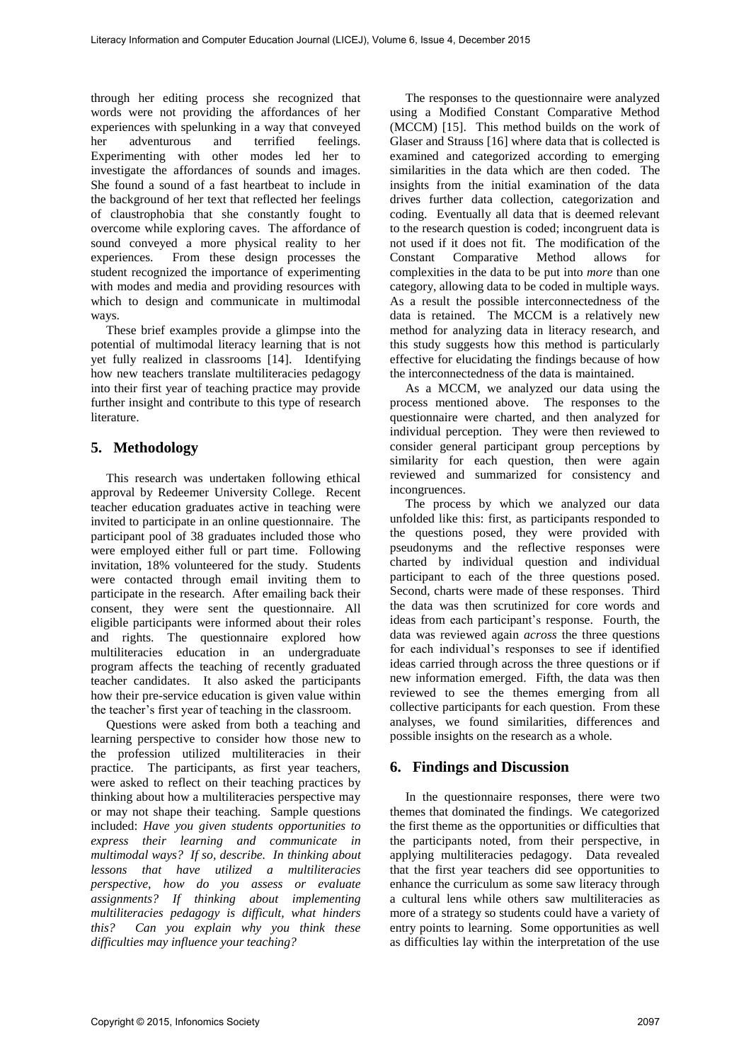through her editing process she recognized that words were not providing the affordances of her experiences with spelunking in a way that conveyed her adventurous and terrified feelings. Experimenting with other modes led her to investigate the affordances of sounds and images. She found a sound of a fast heartbeat to include in the background of her text that reflected her feelings of claustrophobia that she constantly fought to overcome while exploring caves. The affordance of sound conveyed a more physical reality to her experiences. From these design processes the student recognized the importance of experimenting with modes and media and providing resources with which to design and communicate in multimodal ways.

These brief examples provide a glimpse into the potential of multimodal literacy learning that is not yet fully realized in classrooms [14]. Identifying how new teachers translate multiliteracies pedagogy into their first year of teaching practice may provide further insight and contribute to this type of research literature.

# **5. Methodology**

This research was undertaken following ethical approval by Redeemer University College. Recent teacher education graduates active in teaching were invited to participate in an online questionnaire. The participant pool of 38 graduates included those who were employed either full or part time. Following invitation, 18% volunteered for the study. Students were contacted through email inviting them to participate in the research. After emailing back their consent, they were sent the questionnaire. All eligible participants were informed about their roles and rights. The questionnaire explored how multiliteracies education in an undergraduate program affects the teaching of recently graduated teacher candidates. It also asked the participants how their pre-service education is given value within the teacher's first year of teaching in the classroom.

Questions were asked from both a teaching and learning perspective to consider how those new to the profession utilized multiliteracies in their practice. The participants, as first year teachers, were asked to reflect on their teaching practices by thinking about how a multiliteracies perspective may or may not shape their teaching. Sample questions included: *Have you given students opportunities to express their learning and communicate in multimodal ways? If so, describe. In thinking about lessons that have utilized a multiliteracies perspective, how do you assess or evaluate assignments? If thinking about implementing multiliteracies pedagogy is difficult, what hinders this? Can you explain why you think these difficulties may influence your teaching?* 

The responses to the questionnaire were analyzed using a Modified Constant Comparative Method (MCCM) [15]. This method builds on the work of Glaser and Strauss [16] where data that is collected is examined and categorized according to emerging similarities in the data which are then coded. The insights from the initial examination of the data drives further data collection, categorization and coding. Eventually all data that is deemed relevant to the research question is coded; incongruent data is not used if it does not fit. The modification of the Constant Comparative Method allows for complexities in the data to be put into *more* than one category, allowing data to be coded in multiple ways. As a result the possible interconnectedness of the data is retained. The MCCM is a relatively new method for analyzing data in literacy research, and this study suggests how this method is particularly effective for elucidating the findings because of how the interconnectedness of the data is maintained.

As a MCCM, we analyzed our data using the process mentioned above. The responses to the questionnaire were charted, and then analyzed for individual perception. They were then reviewed to consider general participant group perceptions by similarity for each question, then were again reviewed and summarized for consistency and incongruences.

The process by which we analyzed our data unfolded like this: first, as participants responded to the questions posed, they were provided with pseudonyms and the reflective responses were charted by individual question and individual participant to each of the three questions posed. Second, charts were made of these responses. Third the data was then scrutinized for core words and ideas from each participant's response. Fourth, the data was reviewed again *across* the three questions for each individual's responses to see if identified ideas carried through across the three questions or if new information emerged. Fifth, the data was then reviewed to see the themes emerging from all collective participants for each question. From these analyses, we found similarities, differences and possible insights on the research as a whole.

## **6. Findings and Discussion**

In the questionnaire responses, there were two themes that dominated the findings. We categorized the first theme as the opportunities or difficulties that the participants noted, from their perspective, in applying multiliteracies pedagogy. Data revealed that the first year teachers did see opportunities to enhance the curriculum as some saw literacy through a cultural lens while others saw multiliteracies as more of a strategy so students could have a variety of entry points to learning. Some opportunities as well as difficulties lay within the interpretation of the use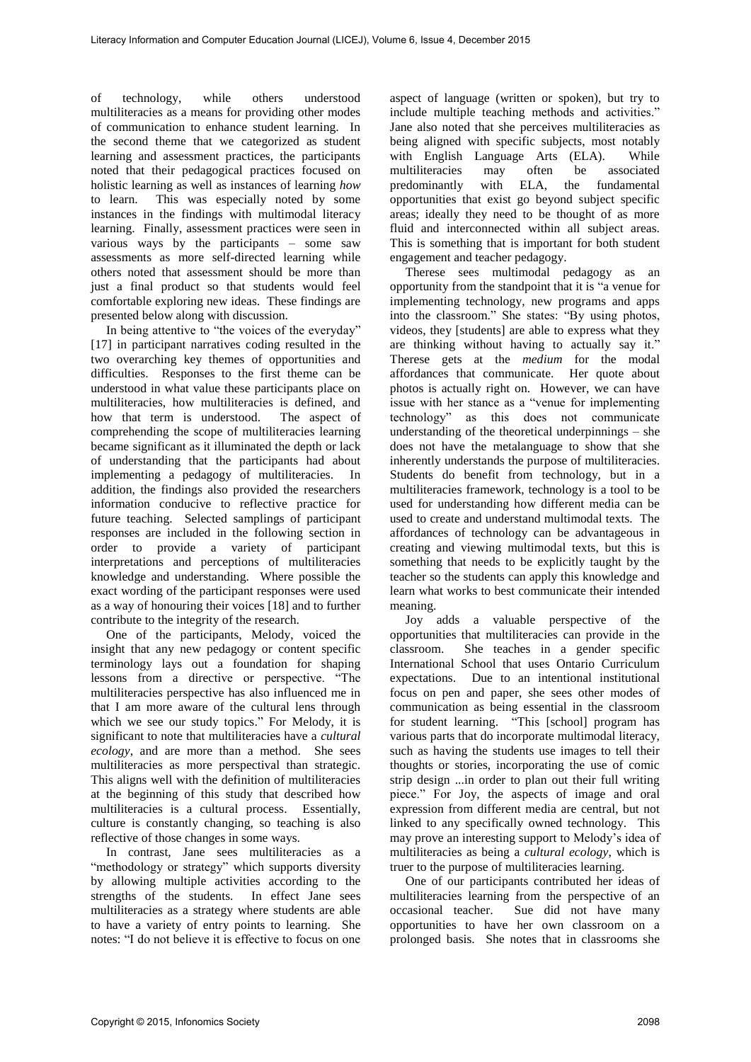of technology, while others understood multiliteracies as a means for providing other modes of communication to enhance student learning. In the second theme that we categorized as student learning and assessment practices, the participants noted that their pedagogical practices focused on holistic learning as well as instances of learning *how* This was especially noted by some instances in the findings with multimodal literacy learning. Finally, assessment practices were seen in various ways by the participants – some saw assessments as more self-directed learning while others noted that assessment should be more than just a final product so that students would feel comfortable exploring new ideas. These findings are presented below along with discussion.

In being attentive to "the voices of the everyday" [17] in participant narratives coding resulted in the two overarching key themes of opportunities and difficulties. Responses to the first theme can be understood in what value these participants place on multiliteracies, how multiliteracies is defined, and how that term is understood. The aspect of comprehending the scope of multiliteracies learning became significant as it illuminated the depth or lack of understanding that the participants had about implementing a pedagogy of multiliteracies. In addition, the findings also provided the researchers information conducive to reflective practice for future teaching. Selected samplings of participant responses are included in the following section in order to provide a variety of participant interpretations and perceptions of multiliteracies knowledge and understanding. Where possible the exact wording of the participant responses were used as a way of honouring their voices [18] and to further contribute to the integrity of the research.

One of the participants, Melody, voiced the insight that any new pedagogy or content specific terminology lays out a foundation for shaping lessons from a directive or perspective. "The multiliteracies perspective has also influenced me in that I am more aware of the cultural lens through which we see our study topics." For Melody, it is significant to note that multiliteracies have a *cultural ecology*, and are more than a method. She sees multiliteracies as more perspectival than strategic. This aligns well with the definition of multiliteracies at the beginning of this study that described how multiliteracies is a cultural process. Essentially, culture is constantly changing, so teaching is also reflective of those changes in some ways.

In contrast, Jane sees multiliteracies as a "methodology or strategy" which supports diversity by allowing multiple activities according to the strengths of the students. In effect Jane sees multiliteracies as a strategy where students are able to have a variety of entry points to learning. She notes: "I do not believe it is effective to focus on one

aspect of language (written or spoken), but try to include multiple teaching methods and activities." Jane also noted that she perceives multiliteracies as being aligned with specific subjects, most notably with English Language Arts (ELA). While multiliteracies may often be associated<br>predominantly with ELA, the fundamental predominantly opportunities that exist go beyond subject specific areas; ideally they need to be thought of as more fluid and interconnected within all subject areas. This is something that is important for both student engagement and teacher pedagogy.

Therese sees multimodal pedagogy as an opportunity from the standpoint that it is "a venue for implementing technology, new programs and apps into the classroom." She states: "By using photos, videos, they [students] are able to express what they are thinking without having to actually say it." Therese gets at the *medium* for the modal affordances that communicate. Her quote about photos is actually right on. However, we can have issue with her stance as a "venue for implementing technology" as this does not communicate understanding of the theoretical underpinnings – she does not have the metalanguage to show that she inherently understands the purpose of multiliteracies. Students do benefit from technology, but in a multiliteracies framework, technology is a tool to be used for understanding how different media can be used to create and understand multimodal texts. The affordances of technology can be advantageous in creating and viewing multimodal texts, but this is something that needs to be explicitly taught by the teacher so the students can apply this knowledge and learn what works to best communicate their intended meaning.

Joy adds a valuable perspective of the opportunities that multiliteracies can provide in the classroom. She teaches in a gender specific International School that uses Ontario Curriculum expectations. Due to an intentional institutional focus on pen and paper, she sees other modes of communication as being essential in the classroom for student learning. "This [school] program has various parts that do incorporate multimodal literacy, such as having the students use images to tell their thoughts or stories, incorporating the use of comic strip design ...in order to plan out their full writing piece." For Joy, the aspects of image and oral expression from different media are central, but not linked to any specifically owned technology. This may prove an interesting support to Melody's idea of multiliteracies as being a *cultural ecology*, which is truer to the purpose of multiliteracies learning.

One of our participants contributed her ideas of multiliteracies learning from the perspective of an occasional teacher. Sue did not have many opportunities to have her own classroom on a prolonged basis. She notes that in classrooms she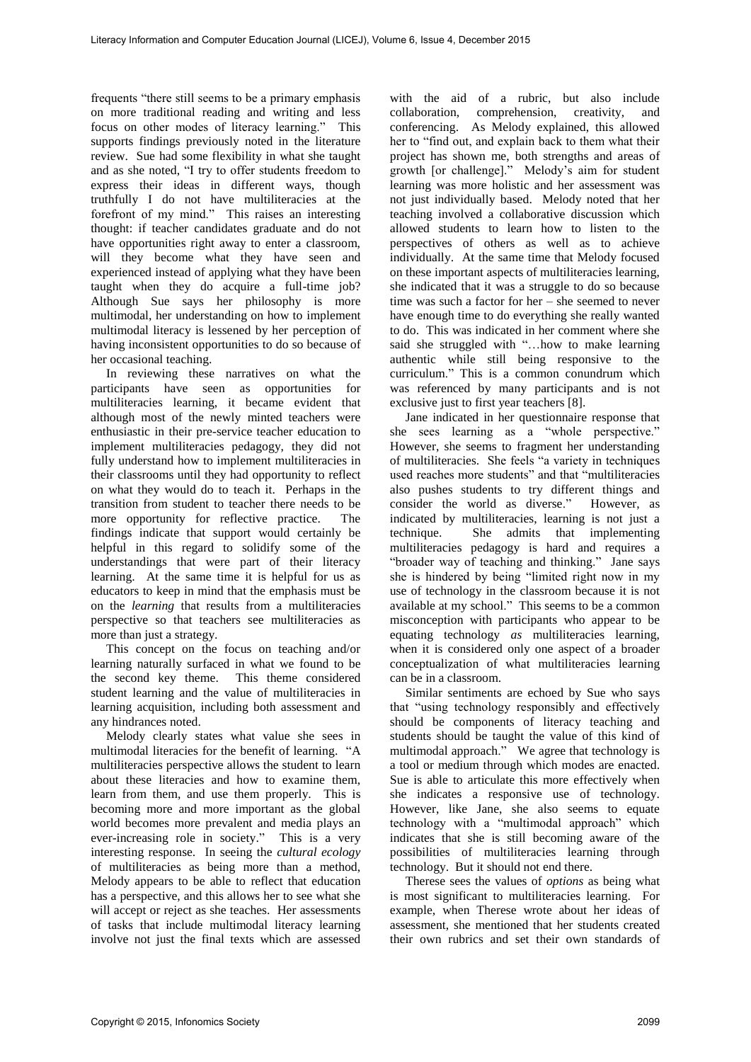frequents "there still seems to be a primary emphasis on more traditional reading and writing and less focus on other modes of literacy learning." This supports findings previously noted in the literature review. Sue had some flexibility in what she taught and as she noted, "I try to offer students freedom to express their ideas in different ways, though truthfully I do not have multiliteracies at the forefront of my mind." This raises an interesting thought: if teacher candidates graduate and do not have opportunities right away to enter a classroom, will they become what they have seen and experienced instead of applying what they have been taught when they do acquire a full-time job? Although Sue says her philosophy is more multimodal, her understanding on how to implement multimodal literacy is lessened by her perception of having inconsistent opportunities to do so because of her occasional teaching.

In reviewing these narratives on what the participants have seen as opportunities for multiliteracies learning, it became evident that although most of the newly minted teachers were enthusiastic in their pre-service teacher education to implement multiliteracies pedagogy, they did not fully understand how to implement multiliteracies in their classrooms until they had opportunity to reflect on what they would do to teach it. Perhaps in the transition from student to teacher there needs to be more opportunity for reflective practice. The findings indicate that support would certainly be helpful in this regard to solidify some of the understandings that were part of their literacy learning. At the same time it is helpful for us as educators to keep in mind that the emphasis must be on the *learning* that results from a multiliteracies perspective so that teachers see multiliteracies as more than just a strategy.

This concept on the focus on teaching and/or learning naturally surfaced in what we found to be the second key theme. This theme considered student learning and the value of multiliteracies in learning acquisition, including both assessment and any hindrances noted.

Melody clearly states what value she sees in multimodal literacies for the benefit of learning. "A multiliteracies perspective allows the student to learn about these literacies and how to examine them, learn from them, and use them properly. This is becoming more and more important as the global world becomes more prevalent and media plays an ever-increasing role in society." This is a very interesting response. In seeing the *cultural ecology* of multiliteracies as being more than a method, Melody appears to be able to reflect that education has a perspective, and this allows her to see what she will accept or reject as she teaches. Her assessments of tasks that include multimodal literacy learning involve not just the final texts which are assessed

with the aid of a rubric, but also include collaboration, comprehension, creativity, and conferencing. As Melody explained, this allowed her to "find out, and explain back to them what their project has shown me, both strengths and areas of growth [or challenge]." Melody's aim for student learning was more holistic and her assessment was not just individually based. Melody noted that her teaching involved a collaborative discussion which allowed students to learn how to listen to the perspectives of others as well as to achieve individually. At the same time that Melody focused on these important aspects of multiliteracies learning, she indicated that it was a struggle to do so because time was such a factor for her – she seemed to never have enough time to do everything she really wanted to do. This was indicated in her comment where she said she struggled with "…how to make learning authentic while still being responsive to the curriculum." This is a common conundrum which was referenced by many participants and is not exclusive just to first year teachers [8].

Jane indicated in her questionnaire response that she sees learning as a "whole perspective." However, she seems to fragment her understanding of multiliteracies. She feels "a variety in techniques used reaches more students" and that "multiliteracies also pushes students to try different things and consider the world as diverse." However, as indicated by multiliteracies, learning is not just a technique. She admits that implementing multiliteracies pedagogy is hard and requires a "broader way of teaching and thinking." Jane says she is hindered by being "limited right now in my use of technology in the classroom because it is not available at my school." This seems to be a common misconception with participants who appear to be equating technology *as* multiliteracies learning, when it is considered only one aspect of a broader conceptualization of what multiliteracies learning can be in a classroom.

Similar sentiments are echoed by Sue who says that "using technology responsibly and effectively should be components of literacy teaching and students should be taught the value of this kind of multimodal approach." We agree that technology is a tool or medium through which modes are enacted. Sue is able to articulate this more effectively when she indicates a responsive use of technology. However, like Jane, she also seems to equate technology with a "multimodal approach" which indicates that she is still becoming aware of the possibilities of multiliteracies learning through technology. But it should not end there.

Therese sees the values of *options* as being what is most significant to multiliteracies learning. For example, when Therese wrote about her ideas of assessment, she mentioned that her students created their own rubrics and set their own standards of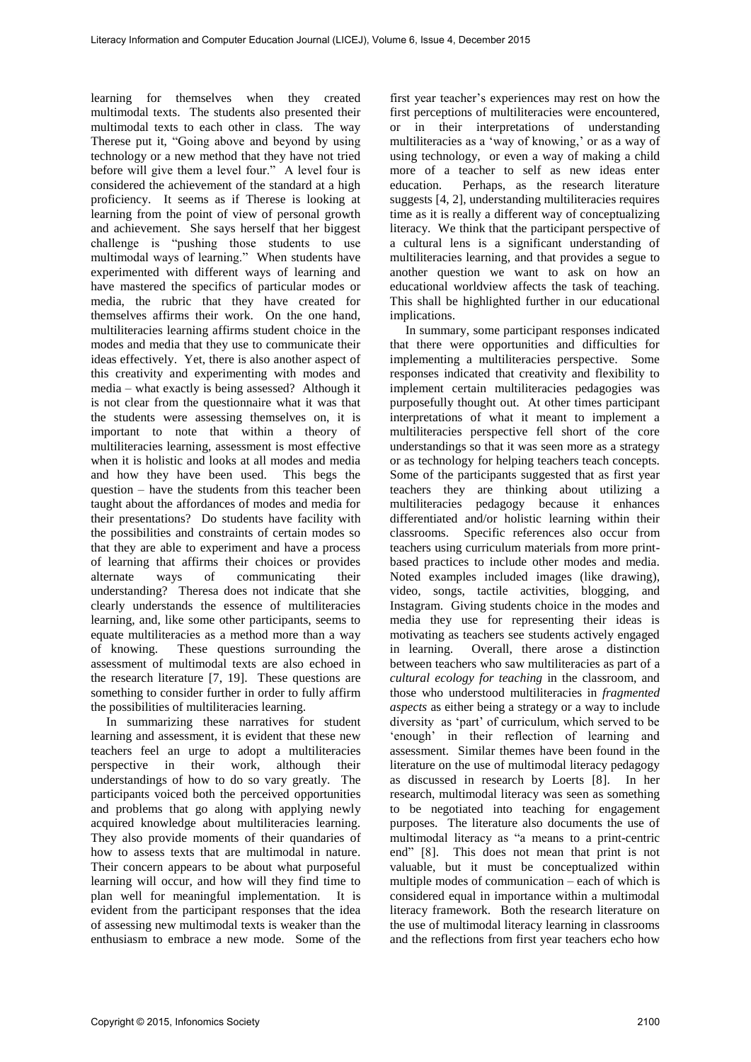learning for themselves when they created multimodal texts. The students also presented their multimodal texts to each other in class. The way Therese put it, "Going above and beyond by using technology or a new method that they have not tried before will give them a level four." A level four is considered the achievement of the standard at a high proficiency. It seems as if Therese is looking at learning from the point of view of personal growth and achievement. She says herself that her biggest challenge is "pushing those students to use multimodal ways of learning." When students have experimented with different ways of learning and have mastered the specifics of particular modes or media, the rubric that they have created for themselves affirms their work. On the one hand, multiliteracies learning affirms student choice in the modes and media that they use to communicate their ideas effectively. Yet, there is also another aspect of this creativity and experimenting with modes and media – what exactly is being assessed? Although it is not clear from the questionnaire what it was that the students were assessing themselves on, it is important to note that within a theory of multiliteracies learning, assessment is most effective when it is holistic and looks at all modes and media<br>and how they have been used. This begs the and how they have been used. question – have the students from this teacher been taught about the affordances of modes and media for their presentations? Do students have facility with the possibilities and constraints of certain modes so that they are able to experiment and have a process of learning that affirms their choices or provides alternate ways of communicating their understanding? Theresa does not indicate that she clearly understands the essence of multiliteracies learning, and, like some other participants, seems to equate multiliteracies as a method more than a way of knowing. These questions surrounding the assessment of multimodal texts are also echoed in the research literature [7, 19]. These questions are something to consider further in order to fully affirm the possibilities of multiliteracies learning.

In summarizing these narratives for student learning and assessment, it is evident that these new teachers feel an urge to adopt a multiliteracies perspective in their work, although their understandings of how to do so vary greatly. The participants voiced both the perceived opportunities and problems that go along with applying newly acquired knowledge about multiliteracies learning. They also provide moments of their quandaries of how to assess texts that are multimodal in nature. Their concern appears to be about what purposeful learning will occur, and how will they find time to plan well for meaningful implementation. It is evident from the participant responses that the idea of assessing new multimodal texts is weaker than the enthusiasm to embrace a new mode. Some of the

first year teacher's experiences may rest on how the first perceptions of multiliteracies were encountered, or in their interpretations of understanding multiliteracies as a 'way of knowing,' or as a way of using technology, or even a way of making a child more of a teacher to self as new ideas enter<br>education. Perhaps, as the research literature Perhaps, as the research literature suggests [4, 2], understanding multiliteracies requires time as it is really a different way of conceptualizing literacy. We think that the participant perspective of a cultural lens is a significant understanding of multiliteracies learning, and that provides a segue to another question we want to ask on how an educational worldview affects the task of teaching. This shall be highlighted further in our educational implications.

In summary, some participant responses indicated that there were opportunities and difficulties for implementing a multiliteracies perspective. Some responses indicated that creativity and flexibility to implement certain multiliteracies pedagogies was purposefully thought out. At other times participant interpretations of what it meant to implement a multiliteracies perspective fell short of the core understandings so that it was seen more as a strategy or as technology for helping teachers teach concepts. Some of the participants suggested that as first year teachers they are thinking about utilizing a multiliteracies pedagogy because it enhances differentiated and/or holistic learning within their classrooms. Specific references also occur from teachers using curriculum materials from more printbased practices to include other modes and media. Noted examples included images (like drawing), video, songs, tactile activities, blogging, and Instagram. Giving students choice in the modes and media they use for representing their ideas is motivating as teachers see students actively engaged in learning. Overall, there arose a distinction between teachers who saw multiliteracies as part of a *cultural ecology for teaching* in the classroom, and those who understood multiliteracies in *fragmented aspects* as either being a strategy or a way to include diversity as 'part' of curriculum, which served to be 'enough' in their reflection of learning and assessment. Similar themes have been found in the literature on the use of multimodal literacy pedagogy as discussed in research by Loerts [8]. In her research, multimodal literacy was seen as something to be negotiated into teaching for engagement purposes. The literature also documents the use of multimodal literacy as "a means to a print-centric end" [8]. This does not mean that print is not valuable, but it must be conceptualized within multiple modes of communication – each of which is considered equal in importance within a multimodal literacy framework. Both the research literature on the use of multimodal literacy learning in classrooms and the reflections from first year teachers echo how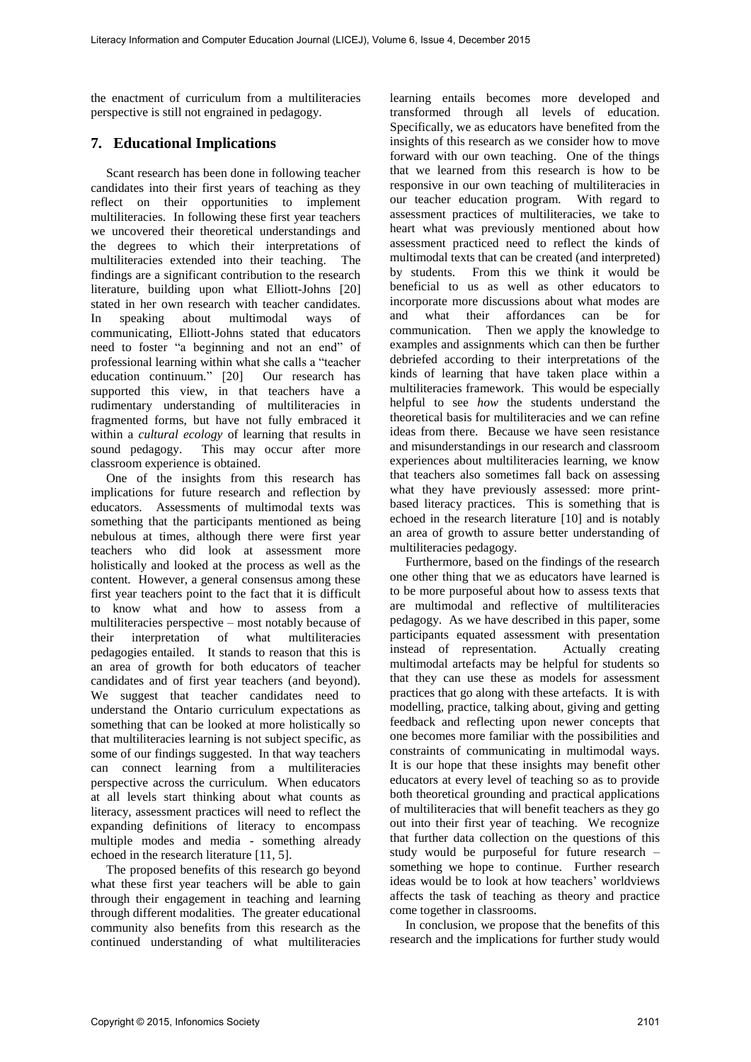the enactment of curriculum from a multiliteracies perspective is still not engrained in pedagogy.

# **7. Educational Implications**

Scant research has been done in following teacher candidates into their first years of teaching as they reflect on their opportunities to implement multiliteracies. In following these first year teachers we uncovered their theoretical understandings and the degrees to which their interpretations of multiliteracies extended into their teaching. The findings are a significant contribution to the research literature, building upon what Elliott-Johns [20] stated in her own research with teacher candidates. In speaking about multimodal ways of communicating, Elliott-Johns stated that educators need to foster "a beginning and not an end" of professional learning within what she calls a "teacher education continuum." [20] Our research has supported this view, in that teachers have a rudimentary understanding of multiliteracies in fragmented forms, but have not fully embraced it within a *cultural ecology* of learning that results in sound pedagogy. This may occur after more classroom experience is obtained.

One of the insights from this research has implications for future research and reflection by educators. Assessments of multimodal texts was something that the participants mentioned as being nebulous at times, although there were first year teachers who did look at assessment more holistically and looked at the process as well as the content. However, a general consensus among these first year teachers point to the fact that it is difficult to know what and how to assess from a multiliteracies perspective – most notably because of their interpretation of what multiliteracies pedagogies entailed. It stands to reason that this is an area of growth for both educators of teacher candidates and of first year teachers (and beyond). We suggest that teacher candidates need to understand the Ontario curriculum expectations as something that can be looked at more holistically so that multiliteracies learning is not subject specific, as some of our findings suggested. In that way teachers can connect learning from a multiliteracies perspective across the curriculum. When educators at all levels start thinking about what counts as literacy, assessment practices will need to reflect the expanding definitions of literacy to encompass multiple modes and media - something already echoed in the research literature [11, 5].

The proposed benefits of this research go beyond what these first year teachers will be able to gain through their engagement in teaching and learning through different modalities. The greater educational community also benefits from this research as the continued understanding of what multiliteracies

learning entails becomes more developed and transformed through all levels of education. Specifically, we as educators have benefited from the insights of this research as we consider how to move forward with our own teaching. One of the things that we learned from this research is how to be responsive in our own teaching of multiliteracies in our teacher education program. With regard to assessment practices of multiliteracies, we take to heart what was previously mentioned about how assessment practiced need to reflect the kinds of multimodal texts that can be created (and interpreted) by students. From this we think it would be beneficial to us as well as other educators to incorporate more discussions about what modes are and what their affordances can be for communication. Then we apply the knowledge to examples and assignments which can then be further debriefed according to their interpretations of the kinds of learning that have taken place within a multiliteracies framework. This would be especially helpful to see *how* the students understand the theoretical basis for multiliteracies and we can refine ideas from there. Because we have seen resistance and misunderstandings in our research and classroom experiences about multiliteracies learning, we know that teachers also sometimes fall back on assessing what they have previously assessed: more printbased literacy practices. This is something that is echoed in the research literature [10] and is notably an area of growth to assure better understanding of multiliteracies pedagogy.

Furthermore, based on the findings of the research one other thing that we as educators have learned is to be more purposeful about how to assess texts that are multimodal and reflective of multiliteracies pedagogy. As we have described in this paper, some participants equated assessment with presentation instead of representation. Actually creating multimodal artefacts may be helpful for students so that they can use these as models for assessment practices that go along with these artefacts. It is with modelling, practice, talking about, giving and getting feedback and reflecting upon newer concepts that one becomes more familiar with the possibilities and constraints of communicating in multimodal ways. It is our hope that these insights may benefit other educators at every level of teaching so as to provide both theoretical grounding and practical applications of multiliteracies that will benefit teachers as they go out into their first year of teaching. We recognize that further data collection on the questions of this study would be purposeful for future research – something we hope to continue. Further research ideas would be to look at how teachers' worldviews affects the task of teaching as theory and practice come together in classrooms.

In conclusion, we propose that the benefits of this research and the implications for further study would